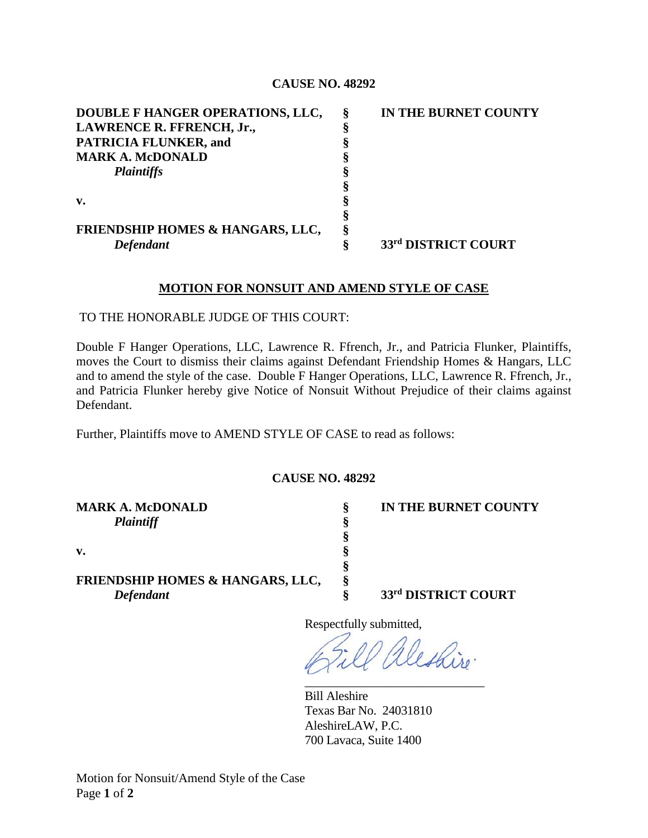## **CAUSE NO. 48292**

| DOUBLE F HANGER OPERATIONS, LLC, | Ş | IN THE BURNET COUNTY |
|----------------------------------|---|----------------------|
| LAWRENCE R. FFRENCH, Jr.,        |   |                      |
| <b>PATRICIA FLUNKER, and</b>     |   |                      |
| <b>MARK A. McDONALD</b>          |   |                      |
| <b>Plaintiffs</b>                |   |                      |
|                                  |   |                      |
| $\mathbf{v}$ .                   |   |                      |
|                                  |   |                      |
| FRIENDSHIP HOMES & HANGARS, LLC, |   |                      |
| <b>Defendant</b>                 |   | 33rd DISTRICT COURT  |

## **MOTION FOR NONSUIT AND AMEND STYLE OF CASE**

TO THE HONORABLE JUDGE OF THIS COURT:

Double F Hanger Operations, LLC, Lawrence R. Ffrench, Jr., and Patricia Flunker, Plaintiffs, moves the Court to dismiss their claims against Defendant Friendship Homes & Hangars, LLC and to amend the style of the case. Double F Hanger Operations, LLC, Lawrence R. Ffrench, Jr., and Patricia Flunker hereby give Notice of Nonsuit Without Prejudice of their claims against Defendant.

Further, Plaintiffs move to AMEND STYLE OF CASE to read as follows:

## **CAUSE NO. 48292**

| <b>MARK A. McDONALD</b>                     | <sup>2</sup> | IN THE BURNET COUNTY |
|---------------------------------------------|--------------|----------------------|
| <b>Plaintiff</b>                            |              |                      |
|                                             |              |                      |
| v.                                          |              |                      |
|                                             |              |                      |
| <b>FRIENDSHIP HOMES &amp; HANGARS, LLC,</b> |              |                      |
| Defendant                                   |              | 33rd DISTRICT COURT  |

Respectfully submitted,

leshiro. \_\_\_\_\_\_\_\_\_\_\_\_\_\_\_\_\_\_\_\_\_\_\_\_\_\_\_\_\_

Bill Aleshire Texas Bar No. 24031810 AleshireLAW, P.C. 700 Lavaca, Suite 1400